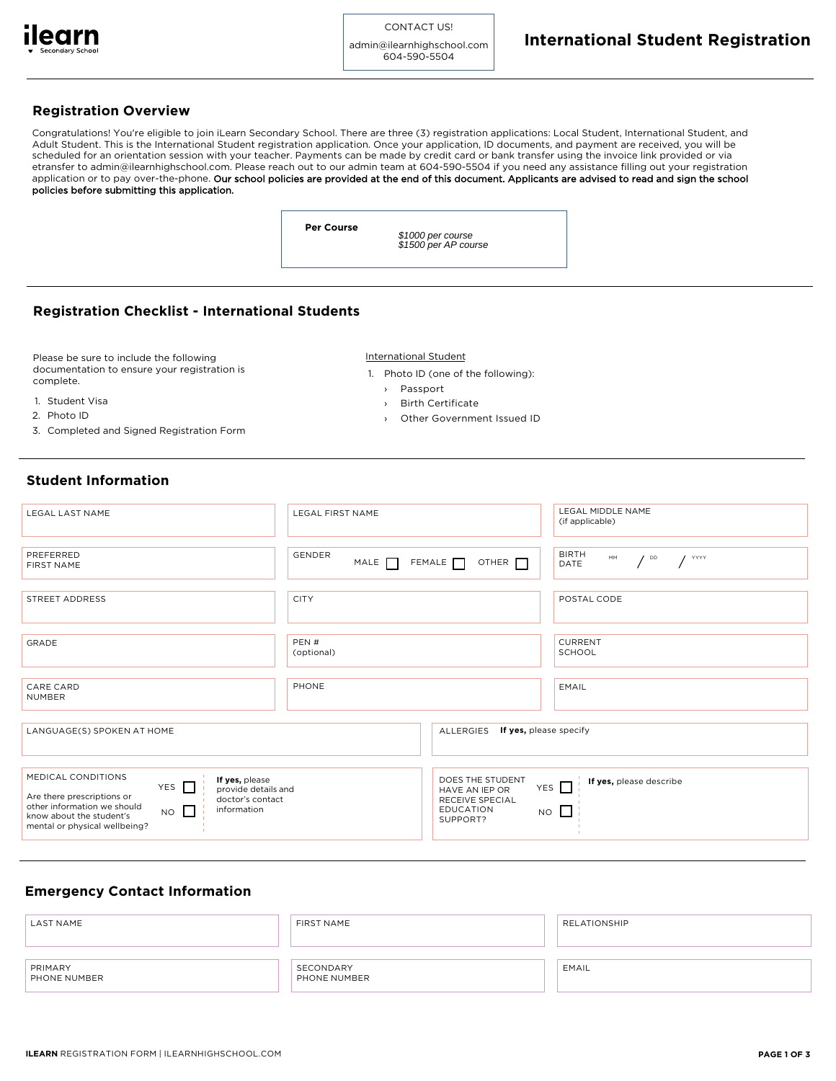

admin@ilearnhighschool.com 604-590-5504

## **Registration Overview**

Congratulations! You're eligible to join iLearn Secondary School. There are three (3) registration applications: Local Student, International Student, and Adult Student. This is the International Student registration application. Once your application, ID documents, and payment are received, you will be scheduled for an orientation session with your teacher. Payments can be made by credit card or bank transfer using the invoice link provided or via etransfer to admin@ilearnhighschool.com. Please reach out to our admin team at 604-590-5504 if you need any assistance filling out your registration application or to pay over-the-phone. Our school policies are provided at the end of this document. Applicants are advised to read and sign the school policies before submitting this application.

**Per Course**

\$1000 per course \$1500 per AP course

## **Registration Checklist - International Students**

Please be sure to include the following documentation to ensure your registration is complete.

- 1. Student Visa
- 2. Photo ID
- 
- 3. Completed and Signed Registration Form
- International Student
- 1. Photo ID (one of the following):
	- › Passport
	- › Birth Certificate
	- Other Government Issued ID

# **Student Information**

| LEGAL LAST NAME                                                                                                                                                                                                                                       | <b>LEGAL FIRST NAME</b>                                           | LEGAL MIDDLE NAME<br>(if applicable)                                              |
|-------------------------------------------------------------------------------------------------------------------------------------------------------------------------------------------------------------------------------------------------------|-------------------------------------------------------------------|-----------------------------------------------------------------------------------|
| PREFERRED<br><b>FIRST NAME</b>                                                                                                                                                                                                                        | <b>GENDER</b><br>FEMALE $\Box$<br>MALE <sub>[</sub>               | <b>BIRTH</b><br>MM<br>$\frac{1}{2}$ YYYY<br>$\prime$ DD<br>OTHER <b>N</b><br>DATE |
| STREET ADDRESS                                                                                                                                                                                                                                        | <b>CITY</b>                                                       | POSTAL CODE                                                                       |
| GRADE                                                                                                                                                                                                                                                 | PEN#<br>(optional)                                                | <b>CURRENT</b><br>SCHOOL                                                          |
| CARE CARD<br><b>NUMBER</b>                                                                                                                                                                                                                            | PHONE                                                             | <b>EMAIL</b>                                                                      |
| LANGUAGE(S) SPOKEN AT HOME                                                                                                                                                                                                                            | ALLERGIES                                                         | If yes, please specify                                                            |
| MEDICAL CONDITIONS<br>If yes, please<br>YES $\Box$<br>provide details and<br>Are there prescriptions or<br>doctor's contact<br>other information we should<br>information<br>$NO$ $\Box$<br>know about the student's<br>mental or physical wellbeing? | HAVE AN IEP OR<br>RECEIVE SPECIAL<br><b>EDUCATION</b><br>SUPPORT? | DOES THE STUDENT<br>If yes, please describe<br>YES $\Box$<br>$NO$ $\Box$          |

## **Emergency Contact Information**

| <b>LAST NAME</b>        | FIRST NAME                | RELATIONSHIP |
|-------------------------|---------------------------|--------------|
| PRIMARY<br>PHONE NUMBER | SECONDARY<br>PHONE NUMBER | EMAIL        |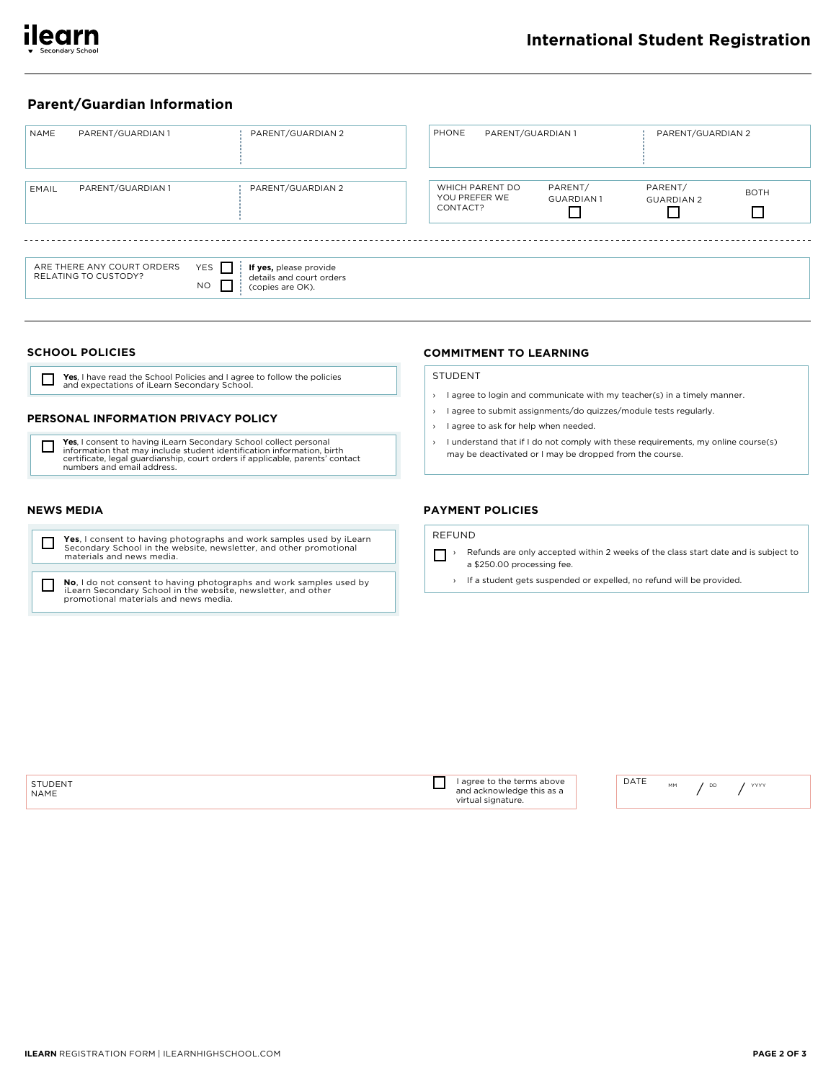

# **Parent/Guardian Information**

| NAME  | PARENT/GUARDIAN 1                                  | PARENT/GUARDIAN 2                                                                       | PHONE                                        | PARENT/GUARDIAN 1 |                             | PARENT/GUARDIAN 2            |                  |
|-------|----------------------------------------------------|-----------------------------------------------------------------------------------------|----------------------------------------------|-------------------|-----------------------------|------------------------------|------------------|
| EMAIL | PARENT/GUARDIAN 1                                  | PARENT/GUARDIAN 2                                                                       | WHICH PARENT DO<br>YOU PREFER WE<br>CONTACT? |                   | PARENT/<br><b>GUARDIAN1</b> | PARENT/<br><b>GUARDIAN 2</b> | <b>BOTH</b><br>П |
|       | ARE THERE ANY COURT ORDERS<br>RELATING TO CUSTODY? | YES    <br>If yes, please provide<br>details and court orders<br>NO<br>(copies are OK). |                                              |                   |                             |                              |                  |

### **SCHOOL POLICIES**

Yes, I have read the School Policies and I agree to follow the policies and expectations of iLearn Secondary School.  $\Box$ 

## PERSONAL INFORMATION PRIVACY POLICY

Yes, I consent to having iLearn Secondary School collect personal<br>information that may include student identification information, birth<br>certificate, legal guardianship, court orders if applicable, parents' contact □ numbers and email address.

## **NEWS MEDIA**

- Yes, I consent to having photographs and work samples used by iLearn<br>Secondary School in the website, newsletter, and other promotional<br>materials and news media.  $\Box$
- No, I do not consent to having photographs and work samples used by iLearn Secondary School in the website, newsletter, and other promotional materials and news media.  $\Box$

## **COMMITMENT TO LEARNING**

#### **STUDENT**

- > I agree to login and communicate with my teacher(s) in a timely manner.
- > I agree to submit assignments/do quizzes/module tests regularly.
- $\rightarrow$  Lagree to ask for help when needed.
- > I understand that if I do not comply with these requirements, my online course(s) may be deactivated or I may be dropped from the course.

## **PAYMENT POLICIES**

## **REFUND**

- Refunds are only accepted within 2 weeks of the class start date and is subject to a \$250.00 processing fee.
	- > If a student gets suspended or expelled, no refund will be provided.

| STUDENT<br><b>NAME</b> | above<br>20000<br>torme<br>l acknowledge this as a<br>$\sim$ $\sim$ $\sim$<br>.<br>' signature.<br>virtual<br>. ت<br>.<br>. | DATE | MM | DD |
|------------------------|-----------------------------------------------------------------------------------------------------------------------------|------|----|----|

 $\frac{1}{2}$